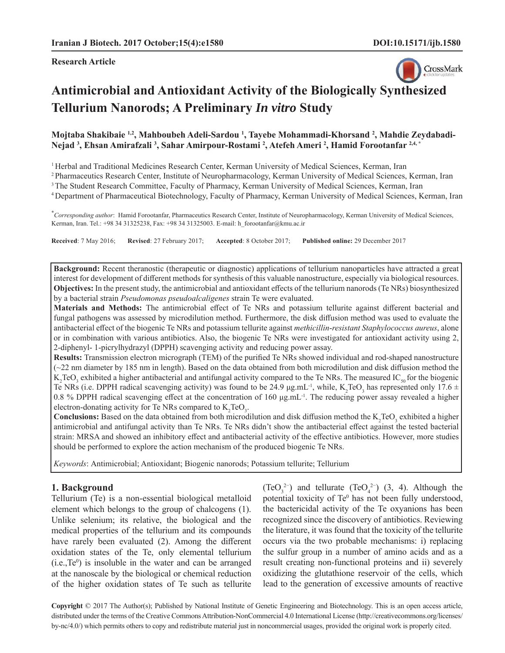**Research Article**



# **Antimicrobial and Antioxidant Activity of the Biologically S[ynthesized](http://crossmark.crossref.org/dialog/?doi=10.15171/ijb.1580&domain=pdf&date_stamp=2017-12-29)  Tellurium Nanorods; A Preliminary** *In vitro* **Study**

**Mojtaba Shakibaie 1,2, Mahboubeh Adeli-Sardou 1 , Tayebe Mohammadi-Khorsand 2 , Mahdie Zeydabadi-Nejad 3 , Ehsan Amirafzali 3 , Sahar Amirpour-Rostami 2 , Atefeh Ameri 2 , Hamid Forootanfar 2,4, \***

1 Herbal and Traditional Medicines Research Center, Kerman University of Medical Sciences, Kerman, Iran

2 Pharmaceutics Research Center, Institute of Neuropharmacology, Kerman University of Medical Sciences, Kerman, Iran

<sup>3</sup> The Student Research Committee, Faculty of Pharmacy, Kerman University of Medical Sciences, Kerman, Iran

4 Department of Pharmaceutical Biotechnology, Faculty of Pharmacy, Kerman University of Medical Sciences, Kerman, Iran

**\*** *Corresponding author*: Hamid Forootanfar, Pharmaceutics Research Center, Institute of Neuropharmacology, Kerman University of Medical Sciences, Kerman, Iran. Tel.: +98 34 31325238, Fax: +98 34 31325003. E-mail: h\_forootanfar@kmu.ac.ir

**Received**: 7 May 2016; **Revised**: 27 February 2017; **Accepted**: 8 October 2017; **Published online:** 29 December 2017

**Background:** Recent theranostic (therapeutic or diagnostic) applications of tellurium nanoparticles have attracted a great interest for development of different methods for synthesis of this valuable nanostructure, especially via biological resources. **Objectives:** In the present study, the antimicrobial and antioxidant effects of the tellurium nanorods (Te NRs) biosynthesized by a bacterial strain *Pseudomonas pseudoalcaligenes* strain Te were evaluated.

**Materials and Methods:** The antimicrobial effect of Te NRs and potassium tellurite against different bacterial and fungal pathogens was assessed by microdilution method. Furthermore, the disk diffusion method was used to evaluate the antibacterial effect of the biogenic Te NRs and potassium tellurite against *methicillin-resistant Staphylococcus aureus*, alone or in combination with various antibiotics. Also, the biogenic Te NRs were investigated for antioxidant activity using 2, 2-diphenyl- 1-picrylhydrazyl (DPPH) scavenging activity and reducing power assay.

**Results:** Transmission electron micrograph (TEM) of the purified Te NRs showed individual and rod-shaped nanostructure  $\sim$  22 nm diameter by 185 nm in length). Based on the data obtained from both microdilution and disk diffusion method the  $K_2$ TeO<sub>3</sub> exhibited a higher antibacterial and antifungal activity compared to the Te NRs. The measured IC<sub>50</sub> for the biogenic Te NRs (i.e. DPPH radical scavenging activity) was found to be 24.9  $\mu$ g.mL<sup>-1</sup>, while, K<sub>2</sub>TeO<sub>3</sub> has represented only 17.6  $\pm$ 0.8 % DPPH radical scavenging effect at the concentration of 160 μg.mL<sup>-1</sup>. The reducing power assay revealed a higher electron-donating activity for Te NRs compared to  $K_2TeO_3$ .

**Conclusions:** Based on the data obtained from both microdilution and disk diffusion method the  $K_2TeO_3$  exhibited a higher antimicrobial and antifungal activity than Te NRs. Te NRs didn't show the antibacterial effect against the tested bacterial strain: MRSA and showed an inhibitory effect and antibacterial activity of the effective antibiotics. However, more studies should be performed to explore the action mechanism of the produced biogenic Te NRs.

*Keywords*: Antimicrobial; Antioxidant; Biogenic nanorods; Potassium tellurite; Tellurium

## **1. Background**

Tellurium (Te) is a non-essential biological metalloid element which belongs to the group of chalcogens (1). Unlike selenium; its relative, the biological and the medical properties of the tellurium and its compounds have rarely been evaluated (2). Among the different oxidation states of the Te, only elemental tellurium  $(i.e., Te<sup>0</sup>)$  is insoluble in the water and can be arranged at the nanoscale by the biological or chemical reduction of the higher oxidation states of Te such as tellurite

 $(TeO<sub>3</sub><sup>2−</sup>)$  and tellurate  $(TeO<sub>4</sub><sup>2−</sup>)$  (3, 4). Although the potential toxicity of Te<sup>0</sup> has not been fully understood, the bactericidal activity of the Te oxyanions has been recognized since the discovery of antibiotics. Reviewing the literature, it was found that the toxicity of the tellurite occurs via the two probable mechanisms: i) replacing the sulfur group in a number of amino acids and as a result creating non-functional proteins and ii) severely oxidizing the glutathione reservoir of the cells, which lead to the generation of excessive amounts of reactive

**Copyright** © 2017 The Author(s); Published by National Institute of Genetic Engineering and Biotechnology. This is an open access article, distributed under the terms of the Creative Commons Attribution-NonCommercial 4.0 International License (http://creativecommons.org/licenses/ by-nc/4.0/) which permits others to copy and redistribute material just in noncommercial usages, provided the original work is properly cited.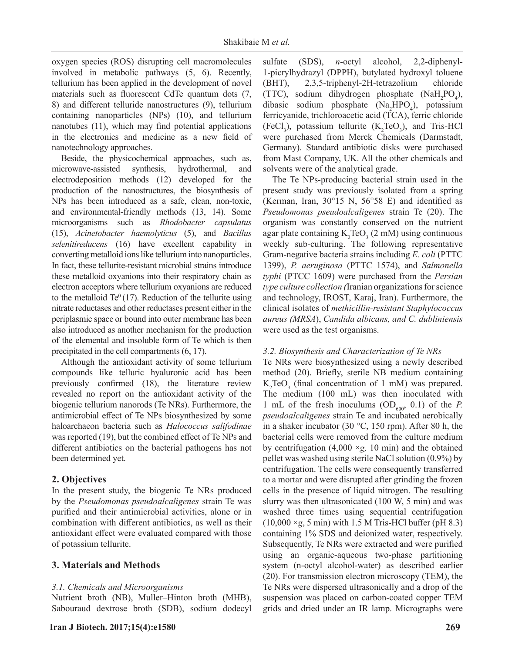oxygen species (ROS) disrupting cell macromolecules involved in metabolic pathways (5, 6). Recently, tellurium has been applied in the development of novel materials such as fluorescent CdTe quantum dots (7, 8) and different telluride nanostructures (9), tellurium containing nanoparticles (NPs) (10), and tellurium nanotubes (11), which may find potential applications in the electronics and medicine as a new field of nanotechnology approaches.

Beside, the physicochemical approaches, such as, microwave-assisted synthesis, hydrothermal, and electrodeposition methods (12) developed for the production of the nanostructures, the biosynthesis of NPs has been introduced as a safe, clean, non-toxic, and environmental-friendly methods (13, 14). Some microorganisms such as *Rhodobacter capsulatus*  (15), *Acinetobacter haemolyticus* (5), and *Bacillus selenitireducens* (16) have excellent capability in converting metalloid ions like tellurium into nanoparticles. In fact, these tellurite-resistant microbial strains introduce these metalloid oxyanions into their respiratory chain as electron acceptors where tellurium oxyanions are reduced to the metalloid  $Te^{0}$  (17). Reduction of the tellurite using nitrate reductases and other reductases present either in the periplasmic space or bound into outer membrane has been also introduced as another mechanism for the production of the elemental and insoluble form of Te which is then precipitated in the cell compartments (6, 17).

Although the antioxidant activity of some tellurium compounds like telluric hyaluronic acid has been previously confirmed (18), the literature review revealed no report on the antioxidant activity of the biogenic tellurium nanorods (Te NRs). Furthermore, the antimicrobial effect of Te NPs biosynthesized by some haloarchaeon bacteria such as *Halococcus salifodinae* was reported (19), but the combined effect of Te NPs and different antibiotics on the bacterial pathogens has not been determined yet.

## **2. Objectives**

In the present study, the biogenic Te NRs produced by the *Pseudomonas pseudoalcaligenes* strain Te was purified and their antimicrobial activities, alone or in combination with different antibiotics, as well as their antioxidant effect were evaluated compared with those of potassium tellurite.

# **3. Materials and Methods**

## *3.1. Chemicals and Microorganisms*

Nutrient broth (NB), Muller–Hinton broth (MHB), Sabouraud dextrose broth (SDB), sodium dodecyl sulfate (SDS), *n*-octyl alcohol, 2,2-diphenyl-1-picrylhydrazyl (DPPH), butylated hydroxyl toluene (BHT), 2,3,5-triphenyl-2H-tetrazolium chloride (TTC), sodium dihydrogen phosphate  $(NaH_2PO_4)$ , dibasic sodium phosphate  $(Na_2HPO_4)$ , potassium ferricyanide, trichloroacetic acid (TCA), ferric chloride (FeCl<sub>3</sub>), potassium tellurite ( $K_2TeO_3$ ), and Tris-HCl were purchased from Merck Chemicals (Darmstadt, Germany). Standard antibiotic disks were purchased from Mast Company, UK. All the other chemicals and solvents were of the analytical grade.

The Te NPs-producing bacterial strain used in the present study was previously isolated from a spring (Kerman, Iran,  $30^{\circ}15$  N,  $56^{\circ}58$  E) and identified as *Pseudomonas pseudoalcaligenes* strain Te (20). The organism was constantly conserved on the nutrient agar plate containing  $K_2TeO_3(2 \text{ mM})$  using continuous weekly sub-culturing. The following representative Gram-negative bacteria strains including *E. coli* (PTTC 1399), *P. aeruginosa* (PTTC 1574), and *Salmonella typhi* (PTCC 1609) were purchased from the *Persian type culture collection (*Iranian organizations for science and technology, IROST, Karaj, Iran). Furthermore, the clinical isolates of *methicillin-resistant Staphylococcus aureus (MRSA*), *Candida albicans, and C. dubliniensis* were used as the test organisms.

## *3.2. Biosynthesis and Characterization of Te NRs*

Te NRs were biosynthesized using a newly described method (20). Briefly, sterile NB medium containing  $K_2TeO_3$  (final concentration of 1 mM) was prepared. The medium (100 mL) was then inoculated with 1 mL of the fresh inoculums  $OD_{600}$ , 0.1) of the *P*. *pseudoalcaligenes* strain Te and incubated aerobically in a shaker incubator (30 °C, 150 rpm). After 80 h, the bacterial cells were removed from the culture medium by centrifugation (4,000 ×*g,* 10 min) and the obtained pellet was washed using sterile NaCl solution (0.9%) by centrifugation. The cells were consequently transferred to a mortar and were disrupted after grinding the frozen cells in the presence of liquid nitrogen. The resulting slurry was then ultrasonicated (100 W, 5 min) and was washed three times using sequential centrifugation  $(10,000 \times g, 5 \text{ min})$  with 1.5 M Tris-HCl buffer (pH 8.3) containing 1% SDS and deionized water, respectively. Subsequently, Te NRs were extracted and were purified using an organic-aqueous two-phase partitioning system (n-octyl alcohol-water) as described earlier (20). For transmission electron microscopy (TEM), the Te NRs were dispersed ultrasonically and a drop of the suspension was placed on carbon-coated copper TEM grids and dried under an IR lamp. Micrographs were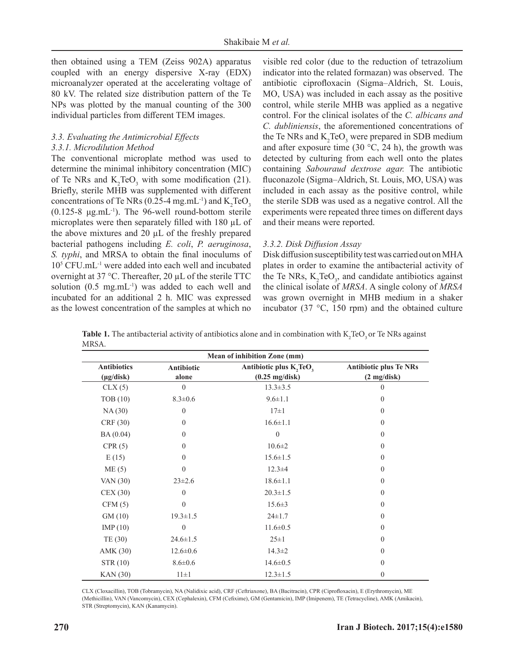then obtained using a TEM (Zeiss 902A) apparatus coupled with an energy dispersive X-ray (EDX) microanalyzer operated at the accelerating voltage of 80 kV. The related size distribution pattern of the Te NPs was plotted by the manual counting of the 300 individual particles from different TEM images.

# *3.3. Evaluating the Antimicrobial Eff ects*

# *3.3.1. Microdilution Method*

The conventional microplate method was used to determine the minimal inhibitory concentration (MIC) of Te NRs and  $K_2TeO_3$  with some modification (21). Briefly, sterile MHB was supplemented with different concentrations of Te NRs (0.25-4 mg.mL $^{-1}$ ) and  $K_2$ TeO<sub>3</sub>  $(0.125-8 \mu g.mL^{-1})$ . The 96-well round-bottom sterile microplates were then separately filled with  $180 \mu L$  of the above mixtures and 20 μL of the freshly prepared bacterial pathogens including *E. coli*, *P. aeruginosa*, *S. typhi*, and MRSA to obtain the final inoculums of 105 CFU.mL-1 were added into each well and incubated overnight at 37 °C. Thereafter, 20 μL of the sterile TTC solution  $(0.5 \text{ mg.mL}^{-1})$  was added to each well and incubated for an additional 2 h. MIC was expressed as the lowest concentration of the samples at which no

visible red color (due to the reduction of tetrazolium indicator into the related formazan) was observed. The antibiotic ciprofloxacin (Sigma–Aldrich, St. Louis, MO, USA) was included in each assay as the positive control, while sterile MHB was applied as a negative control. For the clinical isolates of the *C. albicans and C. dubliniensis*, the aforementioned concentrations of the Te NRs and  $K_2TeO_3$  were prepared in SDB medium and after exposure time (30  $\degree$ C, 24 h), the growth was detected by culturing from each well onto the plates containing *Sabouraud dextrose agar.* The antibiotic fluconazole (Sigma–Aldrich, St. Louis, MO, USA) was included in each assay as the positive control, while the sterile SDB was used as a negative control. All the experiments were repeated three times on different days and their means were reported.

## *3.3.2. Disk Diff usion Assay*

Disk diffusion susceptibility test was carried out on MHA plates in order to examine the antibacterial activity of the Te NRs,  $K_2TeO_3$ , and candidate antibiotics against the clinical isolate of *MRSA*. A single colony of *MRSA* was grown overnight in MHB medium in a shaker incubator (37 °C, 150 rpm) and the obtained culture

| Mean of inhibition Zone (mm) |                |                          |                               |
|------------------------------|----------------|--------------------------|-------------------------------|
| <b>Antibiotics</b>           | Antibiotic     | Antibiotic plus K, TeO,  | <b>Antibiotic plus Te NRs</b> |
| $(\mu g/disk)$               | alone          | $(0.25 \text{ mg/disk})$ | $(2 \text{ mg/disk})$         |
| CLX(5)                       | $\theta$       | $13.3 \pm 3.5$           | $\Omega$                      |
| TOB(10)                      | $8.3 \pm 0.6$  | $9.6 \pm 1.1$            | $\theta$                      |
| NA(30)                       | $\theta$       | $17\pm1$                 | $\Omega$                      |
| CRF(30)                      | $\overline{0}$ | $16.6 \pm 1.1$           | $\overline{0}$                |
| BA (0.04)                    | $\overline{0}$ | $\theta$                 | $\Omega$                      |
| CPR(5)                       | $\Omega$       | $10.6 \pm 2$             | $\Omega$                      |
| E(15)                        | $\Omega$       | $15.6 \pm 1.5$           | $\theta$                      |
| ME(5)                        | $\Omega$       | $12.3 \pm 4$             | $\theta$                      |
| VAN $(30)$                   | $23 \pm 2.6$   | $18.6 \pm 1.1$           | $\Omega$                      |
| CEX(30)                      | $\overline{0}$ | $20.3 \pm 1.5$           | $\Omega$                      |
| CFM(5)                       | $\mathbf{0}$   | $15.6 \pm 3$             | $\Omega$                      |
| GM(10)                       | $19.3 \pm 1.5$ | $24 \pm 1.7$             | $\theta$                      |
| IMP(10)                      | $\theta$       | $11.6 \pm 0.5$           | $\theta$                      |
| TE(30)                       | $24.6 \pm 1.5$ | $25 \pm 1$               | $\theta$                      |
| AMK (30)                     | $12.6 \pm 0.6$ | $14.3 \pm 2$             | $\Omega$                      |
| STR (10)                     | $8.6 \pm 0.6$  | $14.6 \pm 0.5$           | $\theta$                      |
| <b>KAN</b> (30)              | $11\pm1$       | $12.3 \pm 1.5$           | $\theta$                      |

**Table 1.** The antibacterial activity of antibiotics alone and in combination with  $K_2TeO_3$  or Te NRs against MRSA.

CLX (Cloxacillin), TOB (Tobramycin), NA (Nalidixic acid), CRF (Ceftriaxone), BA (Bacitracin), CPR (Ciprofloxacin), E (Erythromycin), ME (Methicillin), VAN (Vancomycin), CEX (Cephalexin), CFM (Cefixime), GM (Gentamicin), IMP (Imipenem), TE (Tetracycline), AMK (Amikacin), STR (Streptomycin), KAN (Kanamycin).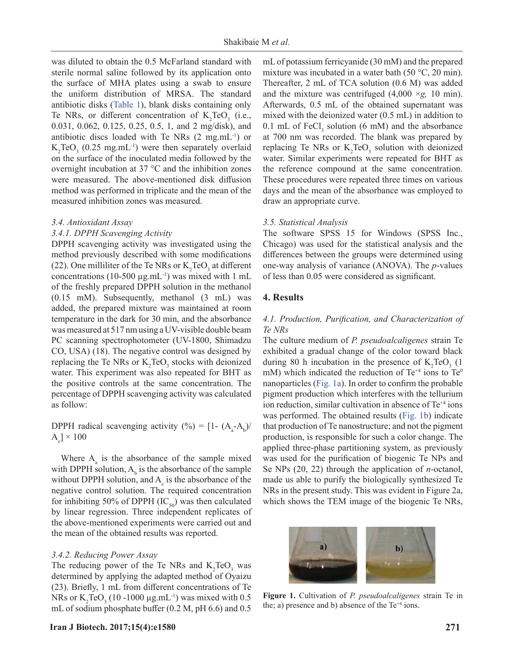was diluted to obtain the 0.5 McFarland standard with sterile normal saline followed by its application onto the surface of MHA plates using a swab to ensure the uniform distribution of MRSA. The standard antibiotic disks (Table 1), blank disks containing only Te NRs, or different concentration of  $K_2TeO_3$  (i.e., 0.031, 0.062, 0.125, 0.25, 0.5, 1, and 2 mg/disk), and antibiotic discs loaded with Te NRs  $(2 \text{ mg.mL}^{-1})$  or  $K_2$ TeO<sub>3</sub> (0.25 mg.mL<sup>-1</sup>) were then separately overlaid on the surface of the inoculated media followed by the overnight incubation at 37 °C and the inhibition zones were measured. The above-mentioned disk diffusion method was performed in triplicate and the mean of the measured inhibition zones was measured.

#### *3.4. Antioxidant Assay*

## *3.4.1. DPPH Scavenging Activity*

DPPH scavenging activity was investigated using the method previously described with some modifications (22). One milliliter of the Te NRs or  $K_2TeO_3$  at different concentrations (10-500 μg.mL<sup>-1</sup>) was mixed with 1 mL of the freshly prepared DPPH solution in the methanol (0.15 mM). Subsequently, methanol (3 mL) was added, the prepared mixture was maintained at room temperature in the dark for 30 min, and the absorbance was measured at 517 nm using a UV-visible double beam PC scanning spectrophotometer (UV-1800, Shimadzu CO, USA) (18). The negative control was designed by replacing the Te NRs or  $K_2$ TeO<sub>3</sub> stocks with deionized water. This experiment was also repeated for BHT as the positive controls at the same concentration. The percentage of DPPH scavenging activity was calculated as follow:

DPPH radical scavenging activity (%) =  $[1 - (A_a - A_b)$  $[A_c] \times 100$ 

Where  $A_{a}$  is the absorbance of the sample mixed with DPPH solution,  $A_b$  is the absorbance of the sample without DPPH solution, and  $A_c$  is the absorbance of the negative control solution. The required concentration for inhibiting 50% of DPPH  $(IC_{50})$  was then calculated by linear regression. Three independent replicates of the above-mentioned experiments were carried out and the mean of the obtained results was reported.

#### *3.4.2. Reducing Power Assay*

The reducing power of the Te NRs and  $K_2TeO_3$  was determined by applying the adapted method of Oyaizu  $(23)$ . Briefly, 1 mL from different concentrations of Te NRs or  $K_2$ TeO<sub>3</sub> (10 -1000  $\mu$ g.mL<sup>-1</sup>) was mixed with 0.5 mL of sodium phosphate buffer  $(0.2 M, pH 6.6)$  and  $0.5$ 

mL of potassium ferricyanide (30 mM) and the prepared mixture was incubated in a water bath (50 °C, 20 min). Thereafter, 2 mL of TCA solution (0.6 M) was added and the mixture was centrifuged (4,000 ×*g,* 10 min). Afterwards, 0.5 mL of the obtained supernatant was mixed with the deionized water (0.5 mL) in addition to 0.1 mL of  $FeCl<sub>3</sub>$  solution (6 mM) and the absorbance at 700 nm was recorded. The blank was prepared by replacing Te NRs or  $K_2TeO_3$  solution with deionized water. Similar experiments were repeated for BHT as the reference compound at the same concentration. These procedures were repeated three times on various days and the mean of the absorbance was employed to draw an appropriate curve.

## *3.5. Statistical Analysis*

The software SPSS 15 for Windows (SPSS Inc., Chicago) was used for the statistical analysis and the differences between the groups were determined using one-way analysis of variance (ANOVA). The *p*-values of less than 0.05 were considered as significant.

## **4. Results**

## 4.1. Production, Purification, and Characterization of *Te NRs*

The culture medium of *P. pseudoalcaligenes* strain Te exhibited a gradual change of the color toward black during 80 h incubation in the presence of  $K_2TeO_3$  (1 mM) which indicated the reduction of  $Te^{4}$  ions to  $Te^{0}$ nanoparticles (Fig. 1a). In order to confirm the probable pigment production which interferes with the tellurium ion reduction, similar cultivation in absence of  $Te^{+4}$  ions was performed. The obtained results (Fig. 1b) indicate that production of Te nanostructure; and not the pigment production, is responsible for such a color change. The applied three-phase partitioning system, as previously was used for the purification of biogenic Te NPs and Se NPs (20, 22) through the application of *n*-octanol, made us able to purify the biologically synthesized Te NRs in the present study. This was evident in Figure 2a, which shows the TEM image of the biogenic Te NRs,



**Figure 1.** Cultivation of *P. pseudoalcaligenes* strain Te in the; a) presence and b) absence of the  $Te^{+4}$  ions.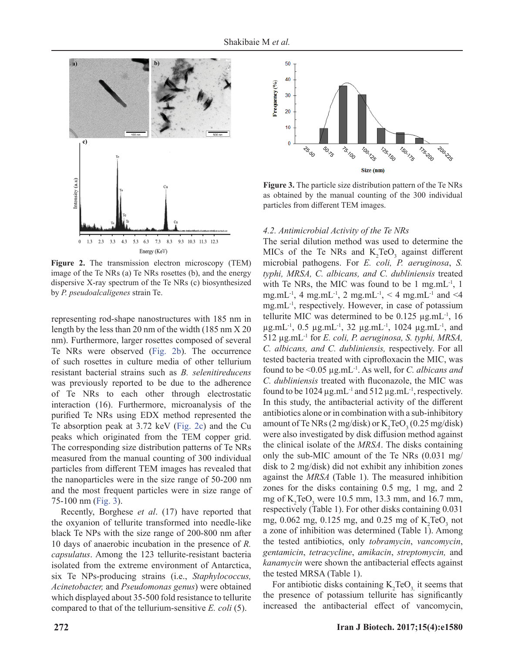

**Figure 2.** The transmission electron microscopy (TEM) image of the Te NRs (a) Te NRs rosettes (b), and the energy dispersive X-ray spectrum of the Te NRs (c) biosynthesized by *P. pseudoalcaligenes* strain Te.

representing rod-shape nanostructures with 185 nm in length by the less than 20 nm of the width (185 nm X 20 nm). Furthermore, larger rosettes composed of several Te NRs were observed (Fig. 2b). The occurrence of such rosettes in culture media of other tellurium resistant bacterial strains such as *B. selenitireducens* was previously reported to be due to the adherence of Te NRs to each other through electrostatic interaction (16). Furthermore, microanalysis of the purified Te NRs using EDX method represented the Te absorption peak at 3.72 keV (Fig. 2c) and the Cu peaks which originated from the TEM copper grid. The corresponding size distribution patterns of Te NRs measured from the manual counting of 300 individual particles from different TEM images has revealed that the nanoparticles were in the size range of 50-200 nm and the most frequent particles were in size range of 75-100 nm (Fig. 3).

Recently, Borghese *et al*. (17) have reported that the oxyanion of tellurite transformed into needle-like black Te NPs with the size range of 200-800 nm after 10 days of anaerobic incubation in the presence of *R. capsulatus*. Among the 123 tellurite-resistant bacteria isolated from the extreme environment of Antarctica, six Te NPs-producing strains (i.e., *Staphylococcus, Acinetobacter,* and *Pseudomonas genus*) were obtained which displayed about 35-500 fold resistance to tellurite compared to that of the tellurium-sensitive *E. coli* (5).



**Figure 3.** The particle size distribution pattern of the Te NRs as obtained by the manual counting of the 300 individual particles from different TEM images.

#### *4.2. Antimicrobial Activity of the Te NRs*

The serial dilution method was used to determine the MICs of the Te NRs and  $K_2TeO_3$  against different microbial pathogens. For *E. coli, P. aeruginosa*, *S. typhi, MRSA, C. albicans, and C. dubliniensis* treated with Te NRs, the MIC was found to be 1 mg.mL $^{-1}$ , 1 mg.mL<sup>-1</sup>, 4 mg.mL<sup>-1</sup>, 2 mg.mL<sup>-1</sup>, < 4 mg.mL<sup>-1</sup> and <4 mg.mL-1, respectively. However, in case of potassium tellurite MIC was determined to be  $0.125 \mu g.mL^{-1}$ , 16 μg.mL<sup>-1</sup>, 0.5 μg.mL<sup>-1</sup>, 32 μg.mL<sup>-1</sup>, 1024 μg.mL<sup>-1</sup>, and 512 μg.mL-1 for *E. coli, P. aeruginosa, S. typhi, MRSA, C. albicans, and C. dubliniensis,* respectively. For all tested bacteria treated with ciprofloxacin the MIC, was found to be <0.05 μg.mL-1. As well, for *C. albicans and C. dubliniensis* treated with fluconazole, the MIC was found to be 1024  $\mu$ g.mL<sup>-1</sup> and 512  $\mu$ g.mL<sup>-1</sup>, respectively. In this study, the antibacterial activity of the different antibiotics alone or in combination with a sub-inhibitory amount of Te NRs (2 mg/disk) or  $K_2$ TeO<sub>3</sub> (0.25 mg/disk) were also investigated by disk diffusion method against the clinical isolate of the *MRSA*. The disks containing only the sub-MIC amount of the Te NRs (0.031 mg/ disk to 2 mg/disk) did not exhibit any inhibition zones against the *MRSA* (Table 1). The measured inhibition zones for the disks containing 0.5 mg, 1 mg, and 2 mg of  $K_2TeO_3$  were 10.5 mm, 13.3 mm, and 16.7 mm, respectively (Table 1). For other disks containing 0.031 mg, 0.062 mg, 0.125 mg, and 0.25 mg of  $K_2TeO_3$  not a zone of inhibition was determined (Table 1). Among the tested antibiotics, only *tobramycin*, *vancomycin*, *gentamicin*, *tetracycline*, *amikacin*, *streptomycin,* and *kanamycin* were shown the antibacterial effects against the tested MRSA (Table 1).

For antibiotic disks containing  $K_2TeO_3$ , it seems that the presence of potassium tellurite has significantly increased the antibacterial effect of vancomycin,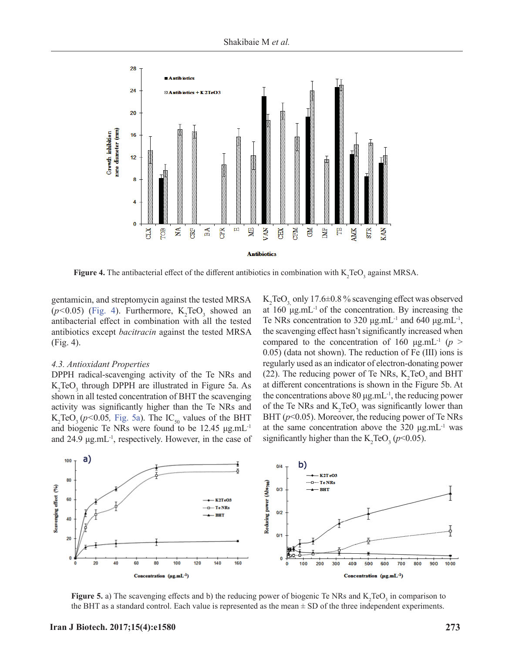

**Figure 4.** The antibacterial effect of the different antibiotics in combination with  $K_2TeO_3$  against MRSA.

gentamicin, and streptomycin against the tested MRSA  $(p<0.05)$  (Fig. 4). Furthermore,  $K_2TeO_3$  showed an antibacterial effect in combination with all the tested antibiotics except *bacitracin* against the tested MRSA (Fig. 4).

#### *4.3. Antioxidant Properties*

DPPH radical-scavenging activity of the Te NRs and  $K_2TeO_3$  through DPPH are illustrated in Figure 5a. As shown in all tested concentration of BHT the scavenging activity was significantly higher than the Te NRs and  $K_2TeO_3(p<0.05,$  Fig. 5a). The  $IC_{50}$  values of the BHT and biogenic Te NRs were found to be 12.45 μg.mL-1 and  $24.9 \mu g.mL^{-1}$ , respectively. However, in the case of

 $K_2$ TeO<sub>3,</sub> only 17.6±0.8 % scavenging effect was observed at  $160 \mu g.mL^{-1}$  of the concentration. By increasing the Te NRs concentration to 320 μg.mL<sup>-1</sup> and 640 μg.mL<sup>-1</sup>, the scavenging effect hasn't significantly increased when compared to the concentration of 160  $\mu$ g.mL<sup>-1</sup> (*p* > 0.05) (data not shown). The reduction of Fe (III) ions is regularly used as an indicator of electron-donating power (22). The reducing power of Te NRs,  $K_2TeO_3$  and BHT at different concentrations is shown in the Figure 5b. At the concentrations above  $80 \mu g.mL^{-1}$ , the reducing power of the Te NRs and  $K_2TeO_3$  was significantly lower than BHT ( $p$ <0.05). Moreover, the reducing power of Te NRs at the same concentration above the 320 μg.mL-1 was significantly higher than the  $K_2TeO_3(p<0.05)$ .



**Figure 5.** a) The scavenging effects and b) the reducing power of biogenic Te NRs and  $K_2TeO_3$  in comparison to the BHT as a standard control. Each value is represented as the mean  $\pm$  SD of the three independent experiments.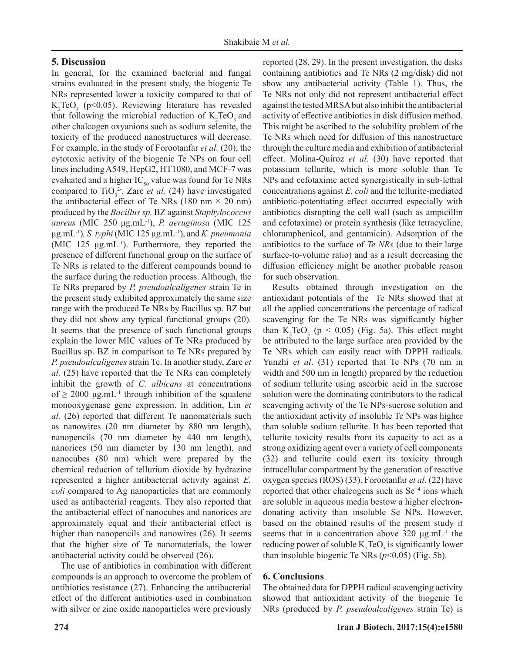## **5. Discussion**

In general, for the examined bacterial and fungal strains evaluated in the present study, the biogenic Te NRs represented lower a toxicity compared to that of  $K_2$ TeO<sub>3</sub> (p<0.05). Reviewing literature has revealed that following the microbial reduction of  $K_2TeO_3$  and other chalcogen oxyanions such as sodium selenite, the toxicity of the produced nanostructures will decrease. For example, in the study of Forootanfar *et al.* (20), the cytotoxic activity of the biogenic Te NPs on four cell lines including A549, HepG2, HT1080, and MCF-7 was evaluated and a higher  $IC_{50}$  value was found for Te NRs compared to  $TiO_3^2$ . Zare *et al.* (24) have investigated the antibacterial effect of Te NRs (180 nm  $\times$  20 nm) produced by the *Bacillus sp.* BZ against *Staphylococcus aureus* (MIC 250 μg.mL-1), *P. aeruginosa* (MIC 125 μg.mL-1)*, S. typhi* (MIC 125 μg.mL-1), and *K. pneumonia*  (MIC 125 μg.mL<sup>-1</sup>). Furthermore, they reported the presence of different functional group on the surface of Te NRs is related to the different compounds bound to the surface during the reduction process. Although, the Te NRs prepared by *P. pseudoalcaligenes* strain Te in the present study exhibited approximately the same size range with the produced Te NRs by Bacillus sp. BZ but they did not show any typical functional groups (20). It seems that the presence of such functional groups explain the lower MIC values of Te NRs produced by Bacillus sp. BZ in comparison to Te NRs prepared by *P. pseudoalcaligenes* strain Te. In another study, Zare *et al.* (25) have reported that the Te NRs can completely inhibit the growth of *C. albicans* at concentrations of  $\geq 2000$  μg.mL<sup>-1</sup> through inhibition of the squalene monooxygenase gene expression. In addition, Lin *et al.* (26) reported that different Te nanomaterials such as nanowires (20 nm diameter by 880 nm length), nanopencils (70 nm diameter by 440 nm length), nanorices (50 nm diameter by 130 nm length), and nanocubes (80 nm) which were prepared by the chemical reduction of tellurium dioxide by hydrazine represented a higher antibacterial activity against *E. coli* compared to Ag nanoparticles that are commonly used as antibacterial reagents. They also reported that the antibacterial effect of nanocubes and nanorices are approximately equal and their antibacterial effect is higher than nanopencils and nanowires (26). It seems that the higher size of Te nanomaterials, the lower antibacterial activity could be observed (26).

The use of antibiotics in combination with different compounds is an approach to overcome the problem of antibiotics resistance (27). Enhancing the antibacterial effect of the different antibiotics used in combination with silver or zinc oxide nanoparticles were previously reported (28, 29). In the present investigation, the disks containing antibiotics and Te NRs (2 mg/disk) did not show any antibacterial activity (Table 1). Thus, the Te NRs not only did not represent antibacterial effect against the tested MRSA but also inhibit the antibacterial activity of effective antibiotics in disk diffusion method. This might be ascribed to the solubility problem of the Te NRs which need for diffusion of this nanostructure through the culture media and exhibition of antibacterial effect. Molina-Quiroz *et al.* (30) have reported that potassium tellurite, which is more soluble than Te NPs and cefotaxime acted synergistically in sub-lethal concentrations against *E. coli* and the tellurite-mediated antibiotic-potentiating effect occurred especially with antibiotics disrupting the cell wall (such as ampicillin and cefotaxime) or protein synthesis (like tetracycline, chloramphenicol, and gentamicin). Adsorption of the antibiotics to the surface of *Te NRs* (due to their large surface-to-volume ratio) and as a result decreasing the diffusion efficiency might be another probable reason for such observation.

Results obtained through investigation on the antioxidant potentials of the Te NRs showed that at all the applied concentrations the percentage of radical scavenging for the Te NRs was significantly higher than  $K_2TeO_3$  (p < 0.05) (Fig. 5a). This effect might be attributed to the large surface area provided by the Te NRs which can easily react with DPPH radicals. Yunzhi *et al*. (31) reported that Te NPs (70 nm in width and 500 nm in length) prepared by the reduction of sodium tellurite using ascorbic acid in the sucrose solution were the dominating contributors to the radical scavenging activity of the Te NPs-sucrose solution and the antioxidant activity of insoluble Te NPs was higher than soluble sodium tellurite. It has been reported that tellurite toxicity results from its capacity to act as a strong oxidizing agent over a variety of cell components (32) and tellurite could exert its toxicity through intracellular compartment by the generation of reactive oxygen species (ROS) (33). Forootanfar *et al*. (22) have reported that other chalcogens such as Se<sup>+4</sup> ions which are soluble in aqueous media bestow a higher electrondonating activity than insoluble Se NPs. However, based on the obtained results of the present study it seems that in a concentration above  $320 \mu g.mL^{-1}$  the reducing power of soluble  $K_2TeO_3$  is significantly lower than insoluble biogenic Te NRs (*p*<0.05) (Fig. 5b).

## **6. Conclusions**

The obtained data for DPPH radical scavenging activity showed that antioxidant activity of the biogenic Te NRs (produced by *P. pseudoalcaligenes* strain Te) is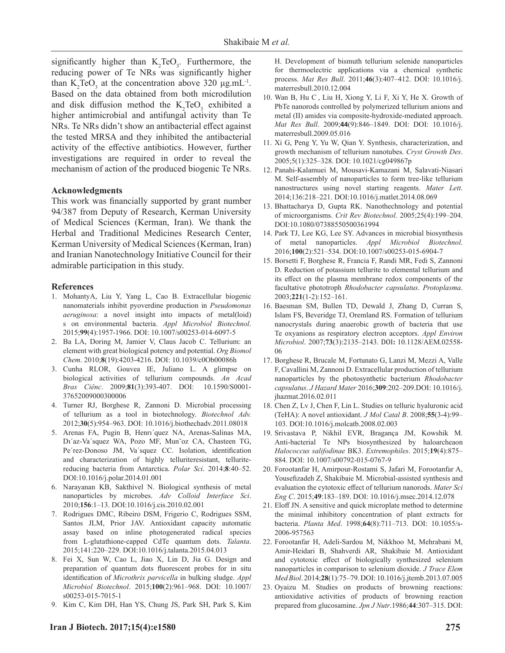significantly higher than  $K_2TeO_3$ . Furthermore, the reducing power of Te NRs was significantly higher than  $K_2TeO_3$  at the concentration above 320  $\mu$ g.mL<sup>-1</sup>. Based on the data obtained from both microdilution and disk diffusion method the  $K_2TeO_3$  exhibited a higher antimicrobial and antifungal activity than Te NRs. Te NRs didn't show an antibacterial effect against the tested MRSA and they inhibited the antibacterial activity of the effective antibiotics. However, further investigations are required in order to reveal the mechanism of action of the produced biogenic Te NRs.

#### **Acknowledgments**

This work was financially supported by grant number 94/387 from Deputy of Research, Kerman University of Medical Sciences (Kerman, Iran). We thank the Herbal and Traditional Medicines Research Center, Kerman University of Medical Sciences (Kerman, Iran) and Iranian Nanotechnology Initiative Council for their admirable participation in this study.

#### **References**

- 1. MohantyA, Liu Y, Yang L, Cao B. Extracellular biogenic nanomaterials inhibit pyoverdine production in *Pseudomonas aeruginosa*: a novel insight into impacts of metal(loid) s on environmental bacteria. *Appl Microbiol Biotechnol*. 2015;**99**(4):1957-1966. DOI: 10.1007/s00253-014-6097-5
- 2. Ba LA, Doring M, Jamier V, Claus Jacob C. Tellurium: an element with great biological potency and potential. *Org Biomol Chem*. 2010;**8**(19):4203-4216. DOI: 10.1039/c0Ob00086h
- 3. Cunha RLOR, Gouvea IE, Juliano L. A glimpse on biological activities of tellurium compounds. *An Acad Bras Ciênc*. 2009;**81**(3):393-407. DOI: 10.1590/S0001- 37652009000300006
- 4. Turner RJ, Borghese R, Zannoni D. Microbial processing of tellurium as a tool in biotechnology. *Biotechnol Adv.* 2012;**30**(5):954–963. DOI: 10.1016/j.biothechadv.2011.08018
- 5. Arenas FA, Pugin B, Henrı´quez NA, Arenas-Salinas MA, Dı´az-Va´squez WA, Pozo MF, Mun˜oz CA, Chasteen TG, Pe'rez-Donoso JM, Va'squez CC. Isolation, identification and characterization of highly telluriteresistant, telluritereducing bacteria from Antarctica. *Polar Sci*. 2014;**8**:40–52. DOI:10.1016/j.polar.2014.01.001
- 6. Narayanan KB, Sakthivel N. Biological synthesis of metal nanoparticles by microbes. *Adv Colloid Interface Sci*. 2010;**156**:1–13. DOI:10.1016/j.cis.2010.02.001
- 7. Rodrigues DMC, Ribeiro DSM, Frigerio C, Rodrigues SSM, Santos JLM, Prior JAV. Antioxidant capacity automatic assay based on inline photogenerated radical species from L-glutathione-capped CdTe quantum dots. *Talanta*. 2015;141:220–229. DOI:10.1016/j.talanta.2015.04.013
- 8. Fei X, Sun W, Cao L, Jiao X, Lin D, Jia G. Design and preparation of quantum dots fluorescent probes for in situ identification of *Microthrix parvicella* in bulking sludge. *Appl Microbiol Biotechnol*. 2015;**100**(2):961–968. DOI: 10.1007/ s00253-015-7015-1
- 9. Kim C, Kim DH, Han YS, Chung JS, Park SH, Park S, Kim

H. Development of bismuth tellurium selenide nanoparticles for thermoelectric applications via a chemical synthetic process. *Mat Res Bull*. 2011;**46**(3):407–412. DOI: 10.1016/j. materresbull.2010.12.004

- 10. Wan B, Hu C , Liu H, Xiong Y, Li F, Xi Y, He X. Growth of PbTe nanorods controlled by polymerized tellurium anions and metal (II) amides via composite-hydroxide-mediated approach. *Mat Res Bull*. 2009;**44**(9):846–1849. DOI: DOI: 10.1016/j. materresbull.2009.05.016
- 11. Xi G, Peng Y, Yu W, Qian Y. Synthesis, characterization, and growth mechanism of tellurium nanotubes. *Cryst Growth Des*. 2005;5(1):325–328. DOI: 10.1021/cg049867p
- 12. Panahi-Kalamuei M, Mousavi-Kamazani M, Salavati-Niasari M. Self-assembly of nanoparticles to form tree-like tellurium nanostructures using novel starting reagents. *Mater Lett*. 2014;136:218–221. DOI:10.1016/j.matlet.2014.08.069
- 13. Bhattacharya D, Gupta RK. Nanothechnology and potential of microorganisms. *Crit Rev Biotechnol*. 2005;25(4):199–204. DOI:10.1080/07388550500361994
- 14. Park TJ, Lee KG, Lee SY. Advances in microbial biosynthesis of metal nanoparticles. *Appl Microbiol Biotechnol*. 2016;**100**(2):521–534. DOI:10.1007/s00253-015-6904-7
- 15. Borsetti F, Borghese R, Francia F, Randi MR, Fedi S, Zannoni D. Reduction of potassium tellurite to elemental tellurium and its effect on the plasma membrane redox components of the facultative phototroph *Rhodobacter capsulatus*. *Protoplasma*. 2003;**221**(1-2):152–161.
- 16. Baesman SM, Bullen TD, Dewald J, Zhang D, Curran S, Islam FS, Beveridge TJ, Oremland RS. Formation of tellurium nanocrystals during anaerobic growth of bacteria that use Te oxyanions as respiratory electron acceptors. *Appl Environ Microbiol*. 2007;**73**(3):2135–2143. DOI**:** 10.1128/AEM.02558- 06
- 17. Borghese R, Brucale M, Fortunato G, Lanzi M, Mezzi A, Valle F, Cavallini M, Zannoni D. Extracellular production of tellurium nanoparticles by the photosynthetic bacterium *Rhodobacter capsulatus*. *J Hazard Mater* 2016;**309**:202–209.DOI: 10.1016/j. jhazmat.2016.02.011
- 18. Chen Z, Lv J, Chen F, Lin L. Studies on telluric hyaluronic acid (TeHA): A novel antioxidant. *J Mol Catal B*. 2008;**55**(3-4):99– 103. DOI:10.1016/j.molcatb.2008.02.003
- 19. Srivastava P, Nikhil EVR, Bragança JM, Kowshik M. Anti-bacterial Te NPs biosynthesized by haloarcheaon *Halococcus salifodinae* BK3. *Extremophiles*. 2015;**19**(4):875– 884. DOI: 10.1007/s00792-015-0767-9
- 20. Forootanfar H, Amirpour-Rostami S, Jafari M, Forootanfar A, Yousefizadeh Z, Shakibaie M. Microbial-assisted synthesis and evaluation the cytotoxic effect of tellurium nanorods. Mater Sci *Eng C*. 2015;**49**:183–189. DOI: 10.1016/j.msec.2014.12.078
- 21. Eloff JN. A sensitive and quick microplate method to determine the minimal inhibitory concentration of plant extracts for bacteria. *Planta Med*. 1998;**64**(8):711–713. DOI: 10.1055/s-2006-957563
- 22. Forootanfar H, Adeli-Sardou M, Nikkhoo M, Mehrabani M, Amir-Heidari B, Shahverdi AR, Shakibaie M. Antioxidant and cytotoxic effect of biologically synthesized selenium nanoparticles in comparison to selenium dioxide. *J Trace Elem Med Biol*. 2014;**28**(1):75–79. DOI: 10.1016/j.jtemb.2013.07.005
- 23. Oyaizu M. Studies on products of browning reactions: antioxidative activities of products of browning reaction prepared from glucosamine. *Jpn J Nutr*.1986;**44**:307–315. DOI: